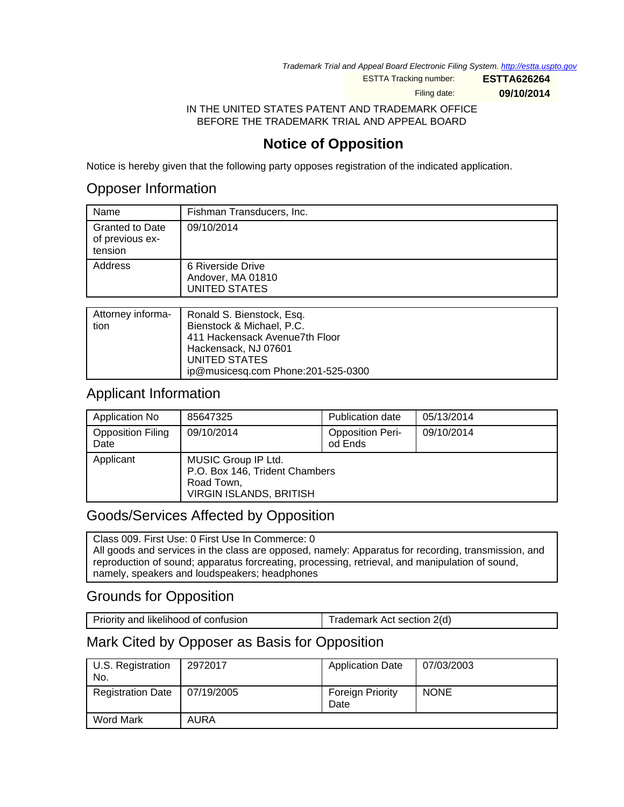Trademark Trial and Appeal Board Electronic Filing System. <http://estta.uspto.gov>

ESTTA Tracking number: **ESTTA626264**

Filing date: **09/10/2014**

IN THE UNITED STATES PATENT AND TRADEMARK OFFICE BEFORE THE TRADEMARK TRIAL AND APPEAL BOARD

# **Notice of Opposition**

Notice is hereby given that the following party opposes registration of the indicated application.

## Opposer Information

| Name                                                 | Fishman Transducers, Inc.                                      |
|------------------------------------------------------|----------------------------------------------------------------|
| <b>Granted to Date</b><br>of previous ex-<br>tension | 09/10/2014                                                     |
| Address                                              | 6 Riverside Drive<br>Andover, MA 01810<br><b>UNITED STATES</b> |
|                                                      |                                                                |
| Attorney informa-                                    | Ronald S. Bienstock, Esq.                                      |

| Ronald S. Bienstock, Esg.          |
|------------------------------------|
| Bienstock & Michael, P.C.          |
| 411 Hackensack Avenue7th Floor     |
| Hackensack, NJ 07601               |
| UNITED STATES                      |
| ip@musicesq.com Phone:201-525-0300 |
|                                    |

### Applicant Information

| Application No                   | 85647325                                                                                              | <b>Publication date</b>            | 05/13/2014 |
|----------------------------------|-------------------------------------------------------------------------------------------------------|------------------------------------|------------|
| <b>Opposition Filing</b><br>Date | 09/10/2014                                                                                            | <b>Opposition Peri-</b><br>od Ends | 09/10/2014 |
| Applicant                        | MUSIC Group IP Ltd.<br>P.O. Box 146, Trident Chambers<br>Road Town,<br><b>VIRGIN ISLANDS, BRITISH</b> |                                    |            |

### Goods/Services Affected by Opposition

Class 009. First Use: 0 First Use In Commerce: 0 All goods and services in the class are opposed, namely: Apparatus for recording, transmission, and reproduction of sound; apparatus forcreating, processing, retrieval, and manipulation of sound, namely, speakers and loudspeakers; headphones

## Grounds for Opposition

| Priority and likelihood of confusion | Trademark Act section 2(d) |
|--------------------------------------|----------------------------|

## Mark Cited by Opposer as Basis for Opposition

| U.S. Registration<br>No. | 2972017     | <b>Application Date</b>         | 07/03/2003  |
|--------------------------|-------------|---------------------------------|-------------|
| <b>Registration Date</b> | 07/19/2005  | <b>Foreign Priority</b><br>Date | <b>NONE</b> |
| <b>Word Mark</b>         | <b>AURA</b> |                                 |             |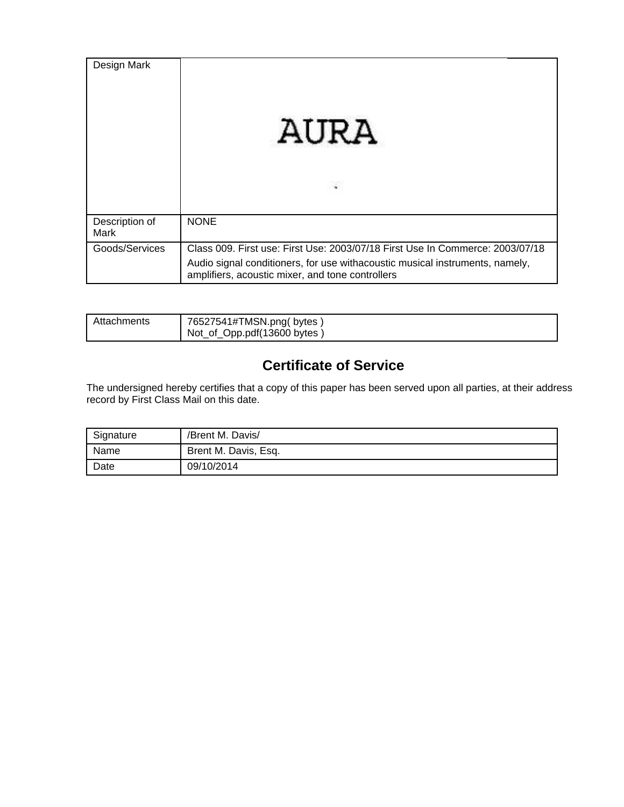| Design Mark            | AURA<br>$\sim$                                                                                                                                                |
|------------------------|---------------------------------------------------------------------------------------------------------------------------------------------------------------|
| Description of<br>Mark | <b>NONE</b>                                                                                                                                                   |
| Goods/Services         | Class 009. First use: First Use: 2003/07/18 First Use In Commerce: 2003/07/18<br>Audio signal conditioners, for use withacoustic musical instruments, namely, |
|                        | amplifiers, acoustic mixer, and tone controllers                                                                                                              |

| Attachments | 76527541#TMSN.png(bytes)<br>Not_of_Opp.pdf(13600 bytes) |
|-------------|---------------------------------------------------------|
|             |                                                         |

# **Certificate of Service**

The undersigned hereby certifies that a copy of this paper has been served upon all parties, at their address record by First Class Mail on this date.

| Signature | /Brent M. Davis/     |
|-----------|----------------------|
| Name      | Brent M. Davis, Esq. |
| Date      | 09/10/2014           |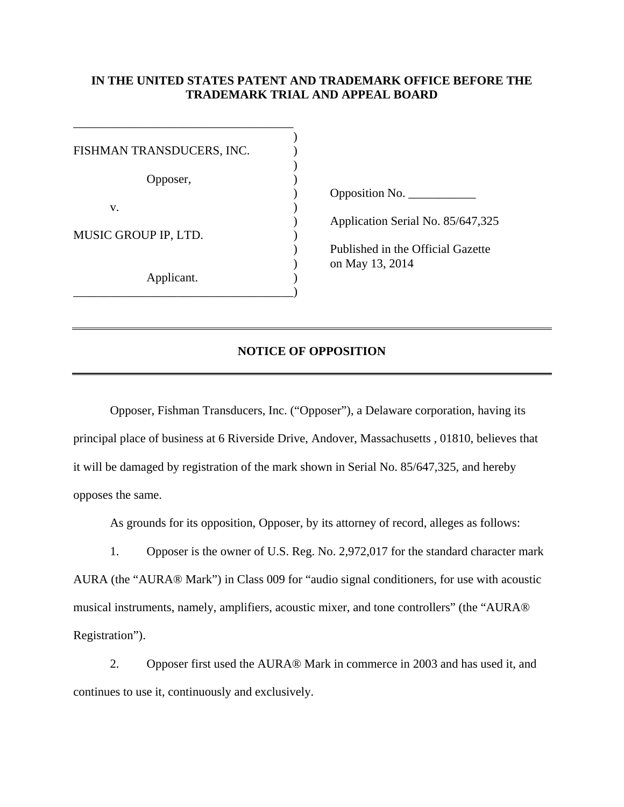### **IN THE UNITED STATES PATENT AND TRADEMARK OFFICE BEFORE THE TRADEMARK TRIAL AND APPEAL BOARD**

| FISHMAN TRANSDUCERS, INC. |                                   |
|---------------------------|-----------------------------------|
|                           |                                   |
| Opposer,                  |                                   |
|                           | Opposition No. $\_\_$             |
| v.                        |                                   |
|                           | Application Serial No. 85/647,325 |
| MUSIC GROUP IP, LTD.      |                                   |
|                           | Published in the Official Gazette |
|                           | on May 13, 2014                   |
| Applicant.                |                                   |
|                           |                                   |

#### **NOTICE OF OPPOSITION**

 Opposer, Fishman Transducers, Inc. ("Opposer"), a Delaware corporation, having its principal place of business at 6 Riverside Drive, Andover, Massachusetts , 01810, believes that it will be damaged by registration of the mark shown in Serial No. 85/647,325, and hereby opposes the same.

As grounds for its opposition, Opposer, by its attorney of record, alleges as follows:

1. Opposer is the owner of U.S. Reg. No. 2,972,017 for the standard character mark AURA (the "AURA® Mark") in Class 009 for "audio signal conditioners, for use with acoustic musical instruments, namely, amplifiers, acoustic mixer, and tone controllers" (the "AURA® Registration").

2. Opposer first used the AURA® Mark in commerce in 2003 and has used it, and continues to use it, continuously and exclusively.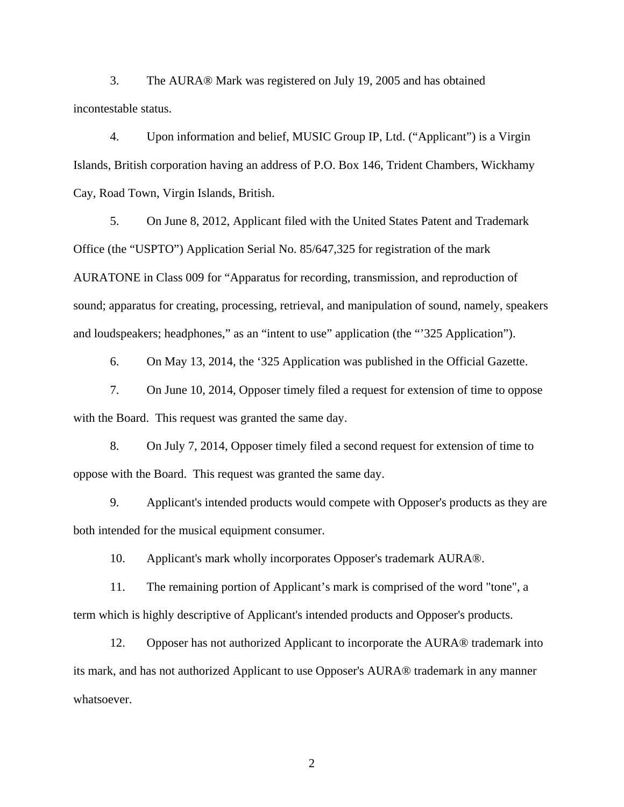3. The AURA® Mark was registered on July 19, 2005 and has obtained incontestable status.

4. Upon information and belief, MUSIC Group IP, Ltd. ("Applicant") is a Virgin Islands, British corporation having an address of P.O. Box 146, Trident Chambers, Wickhamy Cay, Road Town, Virgin Islands, British.

5. On June 8, 2012, Applicant filed with the United States Patent and Trademark Office (the "USPTO") Application Serial No. 85/647,325 for registration of the mark AURATONE in Class 009 for "Apparatus for recording, transmission, and reproduction of sound; apparatus for creating, processing, retrieval, and manipulation of sound, namely, speakers and loudspeakers; headphones," as an "intent to use" application (the "'325 Application").

6. On May 13, 2014, the '325 Application was published in the Official Gazette.

7. On June 10, 2014, Opposer timely filed a request for extension of time to oppose with the Board. This request was granted the same day.

8. On July 7, 2014, Opposer timely filed a second request for extension of time to oppose with the Board. This request was granted the same day.

9. Applicant's intended products would compete with Opposer's products as they are both intended for the musical equipment consumer.

10. Applicant's mark wholly incorporates Opposer's trademark AURA®.

11. The remaining portion of Applicant's mark is comprised of the word "tone", a term which is highly descriptive of Applicant's intended products and Opposer's products.

12. Opposer has not authorized Applicant to incorporate the AURA® trademark into its mark, and has not authorized Applicant to use Opposer's AURA® trademark in any manner whatsoever.

2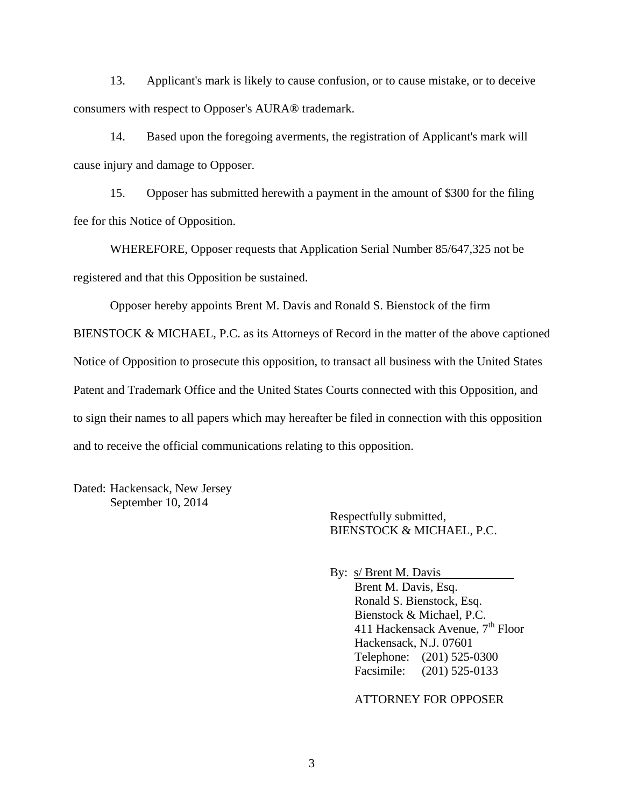13. Applicant's mark is likely to cause confusion, or to cause mistake, or to deceive consumers with respect to Opposer's AURA® trademark.

14. Based upon the foregoing averments, the registration of Applicant's mark will cause injury and damage to Opposer.

15. Opposer has submitted herewith a payment in the amount of \$300 for the filing fee for this Notice of Opposition.

WHEREFORE, Opposer requests that Application Serial Number 85/647,325 not be registered and that this Opposition be sustained.

Opposer hereby appoints Brent M. Davis and Ronald S. Bienstock of the firm

BIENSTOCK & MICHAEL, P.C. as its Attorneys of Record in the matter of the above captioned Notice of Opposition to prosecute this opposition, to transact all business with the United States Patent and Trademark Office and the United States Courts connected with this Opposition, and to sign their names to all papers which may hereafter be filed in connection with this opposition and to receive the official communications relating to this opposition.

Dated: Hackensack, New Jersey September 10, 2014

> Respectfully submitted, BIENSTOCK & MICHAEL, P.C.

By: s/ Brent M. Davis Brent M. Davis, Esq. Ronald S. Bienstock, Esq. Bienstock & Michael, P.C. 411 Hackensack Avenue, 7<sup>th</sup> Floor Hackensack, N.J. 07601 Telephone: (201) 525-0300 Facsimile: (201) 525-0133

ATTORNEY FOR OPPOSER